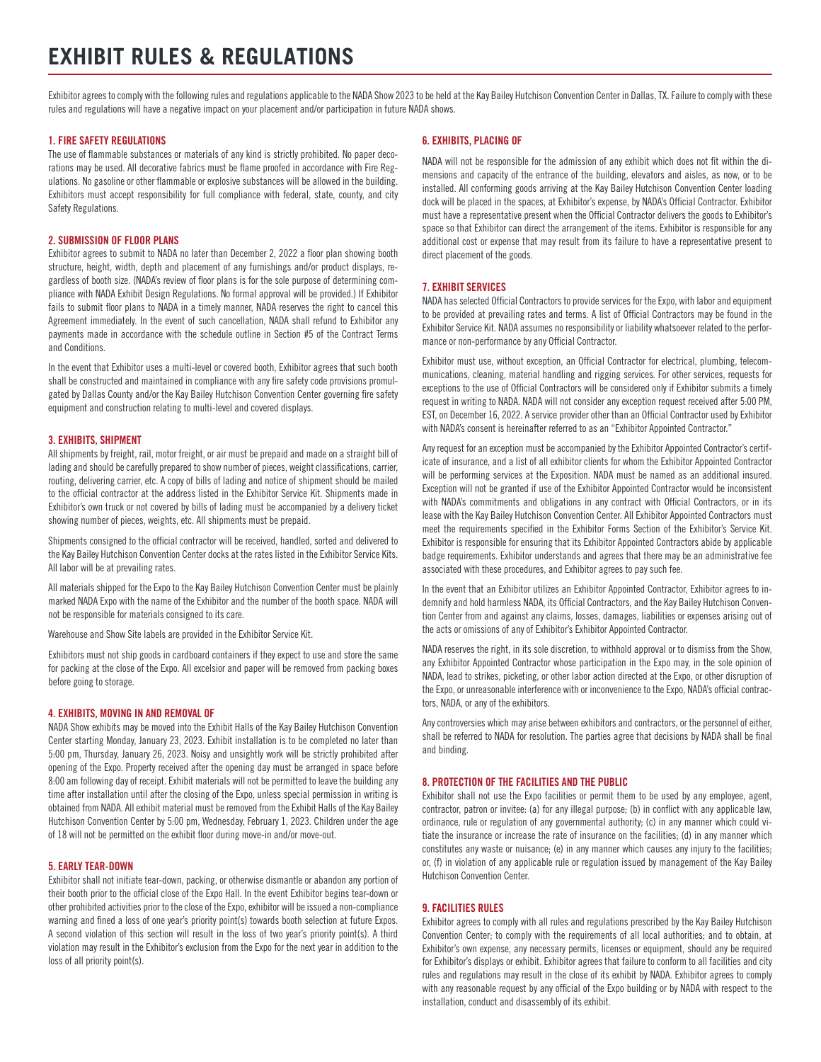# **EXHIBIT RULES & REGULATIONS**

Exhibitor agrees to comply with the following rules and regulations applicable to the NADA Show 2023 to be held at the Kay Bailey Hutchison Convention Center in Dallas, TX. Failure to comply with these rules and regulations will have a negative impact on your placement and/or participation in future NADA shows.

## 1. FIRE SAFETY REGULATIONS

The use of flammable substances or materials of any kind is strictly prohibited. No paper decorations may be used. All decorative fabrics must be flame proofed in accordance with Fire Regulations. No gasoline or other flammable or explosive substances will be allowed in the building. Exhibitors must accept responsibility for full compliance with federal, state, county, and city Safety Regulations.

## 2. SUBMISSION OF FLOOR PLANS

Exhibitor agrees to submit to NADA no later than December 2, 2022 a floor plan showing booth structure, height, width, depth and placement of any furnishings and/or product displays, regardless of booth size. (NADA's review of floor plans is for the sole purpose of determining compliance with NADA Exhibit Design Regulations. No formal approval will be provided.) If Exhibitor fails to submit floor plans to NADA in a timely manner, NADA reserves the right to cancel this Agreement immediately. In the event of such cancellation, NADA shall refund to Exhibitor any payments made in accordance with the schedule outline in Section #5 of the Contract Terms and Conditions.

In the event that Exhibitor uses a multi-level or covered booth, Exhibitor agrees that such booth shall be constructed and maintained in compliance with any fire safety code provisions promulgated by Dallas County and/or the Kay Bailey Hutchison Convention Center governing fire safety equipment and construction relating to multi-level and covered displays.

## 3. EXHIBITS, SHIPMENT

All shipments by freight, rail, motor freight, or air must be prepaid and made on a straight bill of lading and should be carefully prepared to show number of pieces, weight classifications, carrier, routing, delivering carrier, etc. A copy of bills of lading and notice of shipment should be mailed to the official contractor at the address listed in the Exhibitor Service Kit. Shipments made in Exhibitor's own truck or not covered by bills of lading must be accompanied by a delivery ticket showing number of pieces, weights, etc. All shipments must be prepaid.

Shipments consigned to the official contractor will be received, handled, sorted and delivered to the Kay Bailey Hutchison Convention Center docks at the rates listed in the Exhibitor Service Kits. All labor will be at prevailing rates.

All materials shipped for the Expo to the Kay Bailey Hutchison Convention Center must be plainly marked NADA Expo with the name of the Exhibitor and the number of the booth space. NADA will not be responsible for materials consigned to its care.

Warehouse and Show Site labels are provided in the Exhibitor Service Kit.

Exhibitors must not ship goods in cardboard containers if they expect to use and store the same for packing at the close of the Expo. All excelsior and paper will be removed from packing boxes before going to storage.

## 4. EXHIBITS, MOVING IN AND REMOVAL OF

NADA Show exhibits may be moved into the Exhibit Halls of the Kay Bailey Hutchison Convention Center starting Monday, January 23, 2023. Exhibit installation is to be completed no later than 5:00 pm, Thursday, January 26, 2023. Noisy and unsightly work will be strictly prohibited after opening of the Expo. Property received after the opening day must be arranged in space before 8:00 am following day of receipt. Exhibit materials will not be permitted to leave the building any time after installation until after the closing of the Expo, unless special permission in writing is obtained from NADA. All exhibit material must be removed from the Exhibit Halls of the Kay Bailey Hutchison Convention Center by 5:00 pm, Wednesday, February 1, 2023. Children under the age of 18 will not be permitted on the exhibit floor during move-in and/or move-out.

#### 5. EARLY TEAR-DOWN

Exhibitor shall not initiate tear-down, packing, or otherwise dismantle or abandon any portion of their booth prior to the official close of the Expo Hall. In the event Exhibitor begins tear-down or other prohibited activities prior to the close of the Expo, exhibitor will be issued a non-compliance warning and fined a loss of one year's priority point(s) towards booth selection at future Expos. A second violation of this section will result in the loss of two year's priority point(s). A third violation may result in the Exhibitor's exclusion from the Expo for the next year in addition to the loss of all priority point(s).

## 6. EXHIBITS, PLACING OF

NADA will not be responsible for the admission of any exhibit which does not fit within the dimensions and capacity of the entrance of the building, elevators and aisles, as now, or to be installed. All conforming goods arriving at the Kay Bailey Hutchison Convention Center loading dock will be placed in the spaces, at Exhibitor's expense, by NADA's Official Contractor. Exhibitor must have a representative present when the Official Contractor delivers the goods to Exhibitor's space so that Exhibitor can direct the arrangement of the items. Exhibitor is responsible for any additional cost or expense that may result from its failure to have a representative present to direct placement of the goods.

## 7. EXHIBIT SERVICES

NADA has selected Official Contractors to provide services for the Expo, with labor and equipment to be provided at prevailing rates and terms. A list of Official Contractors may be found in the Exhibitor Service Kit. NADA assumes no responsibility or liability whatsoever related to the performance or non-performance by any Official Contractor.

Exhibitor must use, without exception, an Official Contractor for electrical, plumbing, telecommunications, cleaning, material handling and rigging services. For other services, requests for exceptions to the use of Official Contractors will be considered only if Exhibitor submits a timely request in writing to NADA. NADA will not consider any exception request received after 5:00 PM, EST, on December 16, 2022. A service provider other than an Official Contractor used by Exhibitor with NADA's consent is hereinafter referred to as an "Exhibitor Appointed Contractor."

Any request for an exception must be accompanied by the Exhibitor Appointed Contractor's certificate of insurance, and a list of all exhibitor clients for whom the Exhibitor Appointed Contractor will be performing services at the Exposition. NADA must be named as an additional insured. Exception will not be granted if use of the Exhibitor Appointed Contractor would be inconsistent with NADA's commitments and obligations in any contract with Official Contractors, or in its lease with the Kay Bailey Hutchison Convention Center. All Exhibitor Appointed Contractors must meet the requirements specified in the Exhibitor Forms Section of the Exhibitor's Service Kit. Exhibitor is responsible for ensuring that its Exhibitor Appointed Contractors abide by applicable badge requirements. Exhibitor understands and agrees that there may be an administrative fee associated with these procedures, and Exhibitor agrees to pay such fee.

In the event that an Exhibitor utilizes an Exhibitor Appointed Contractor, Exhibitor agrees to indemnify and hold harmless NADA, its Official Contractors, and the Kay Bailey Hutchison Convention Center from and against any claims, losses, damages, liabilities or expenses arising out of the acts or omissions of any of Exhibitor's Exhibitor Appointed Contractor.

NADA reserves the right, in its sole discretion, to withhold approval or to dismiss from the Show, any Exhibitor Appointed Contractor whose participation in the Expo may, in the sole opinion of NADA, lead to strikes, picketing, or other labor action directed at the Expo, or other disruption of the Expo, or unreasonable interference with or inconvenience to the Expo, NADA's official contractors, NADA, or any of the exhibitors.

Any controversies which may arise between exhibitors and contractors, or the personnel of either, shall be referred to NADA for resolution. The parties agree that decisions by NADA shall be final and binding.

## 8. PROTECTION OF THE FACILITIES AND THE PUBLIC

Exhibitor shall not use the Expo facilities or permit them to be used by any employee, agent, contractor, patron or invitee: (a) for any illegal purpose; (b) in conflict with any applicable law, ordinance, rule or regulation of any governmental authority; (c) in any manner which could vitiate the insurance or increase the rate of insurance on the facilities; (d) in any manner which constitutes any waste or nuisance; (e) in any manner which causes any injury to the facilities; or, (f) in violation of any applicable rule or regulation issued by management of the Kay Bailey Hutchison Convention Center.

## 9. FACILITIES RULES

Exhibitor agrees to comply with all rules and regulations prescribed by the Kay Bailey Hutchison Convention Center; to comply with the requirements of all local authorities; and to obtain, at Exhibitor's own expense, any necessary permits, licenses or equipment, should any be required for Exhibitor's displays or exhibit. Exhibitor agrees that failure to conform to all facilities and city rules and regulations may result in the close of its exhibit by NADA. Exhibitor agrees to comply with any reasonable request by any official of the Expo building or by NADA with respect to the installation, conduct and disassembly of its exhibit.